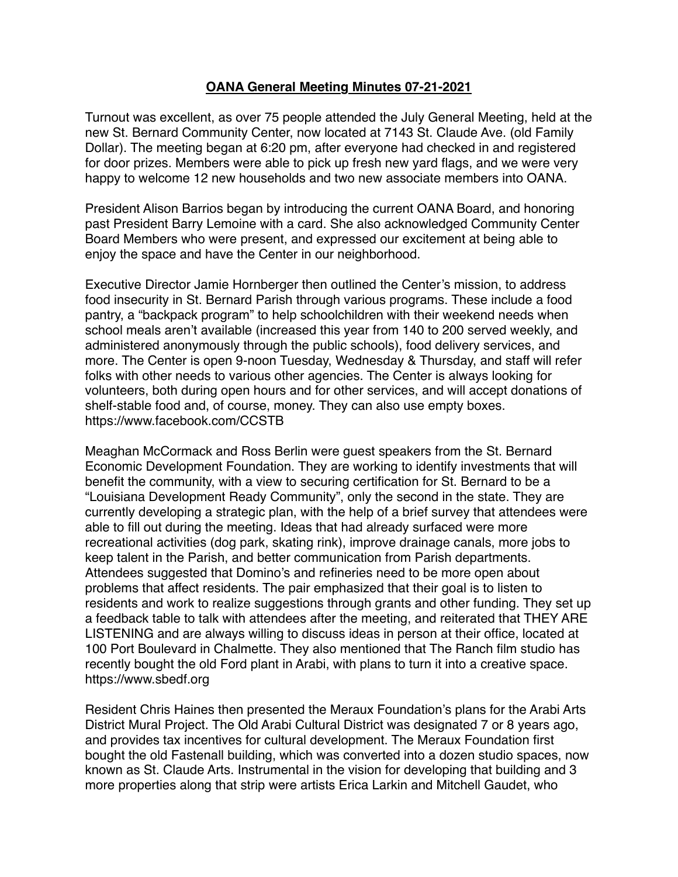## **OANA General Meeting Minutes 07-21-2021**

Turnout was excellent, as over 75 people attended the July General Meeting, held at the new St. Bernard Community Center, now located at 7143 St. Claude Ave. (old Family Dollar). The meeting began at 6:20 pm, after everyone had checked in and registered for door prizes. Members were able to pick up fresh new yard flags, and we were very happy to welcome 12 new households and two new associate members into OANA.

President Alison Barrios began by introducing the current OANA Board, and honoring past President Barry Lemoine with a card. She also acknowledged Community Center Board Members who were present, and expressed our excitement at being able to enjoy the space and have the Center in our neighborhood.

Executive Director Jamie Hornberger then outlined the Center's mission, to address food insecurity in St. Bernard Parish through various programs. These include a food pantry, a "backpack program" to help schoolchildren with their weekend needs when school meals aren't available (increased this year from 140 to 200 served weekly, and administered anonymously through the public schools), food delivery services, and more. The Center is open 9-noon Tuesday, Wednesday & Thursday, and staff will refer folks with other needs to various other agencies. The Center is always looking for volunteers, both during open hours and for other services, and will accept donations of shelf-stable food and, of course, money. They can also use empty boxes. <https://www.facebook.com/CCSTB>

Meaghan McCormack and Ross Berlin were guest speakers from the St. Bernard Economic Development Foundation. They are working to identify investments that will benefit the community, with a view to securing certification for St. Bernard to be a "Louisiana Development Ready Community", only the second in the state. They are currently developing a strategic plan, with the help of a brief survey that attendees were able to fill out during the meeting. Ideas that had already surfaced were more recreational activities (dog park, skating rink), improve drainage canals, more jobs to keep talent in the Parish, and better communication from Parish departments. Attendees suggested that Domino's and refineries need to be more open about problems that affect residents. The pair emphasized that their goal is to listen to residents and work to realize suggestions through grants and other funding. They set up a feedback table to talk with attendees after the meeting, and reiterated that THEY ARE LISTENING and are always willing to discuss ideas in person at their office, located at 100 Port Boulevard in Chalmette. They also mentioned that The Ranch film studio has recently bought the old Ford plant in Arabi, with plans to turn it into a creative space. <https://www.sbedf.org>

Resident Chris Haines then presented the Meraux Foundation's plans for the Arabi Arts District Mural Project. The Old Arabi Cultural District was designated 7 or 8 years ago, and provides tax incentives for cultural development. The Meraux Foundation first bought the old Fastenall building, which was converted into a dozen studio spaces, now known as St. Claude Arts. Instrumental in the vision for developing that building and 3 more properties along that strip were artists Erica Larkin and Mitchell Gaudet, who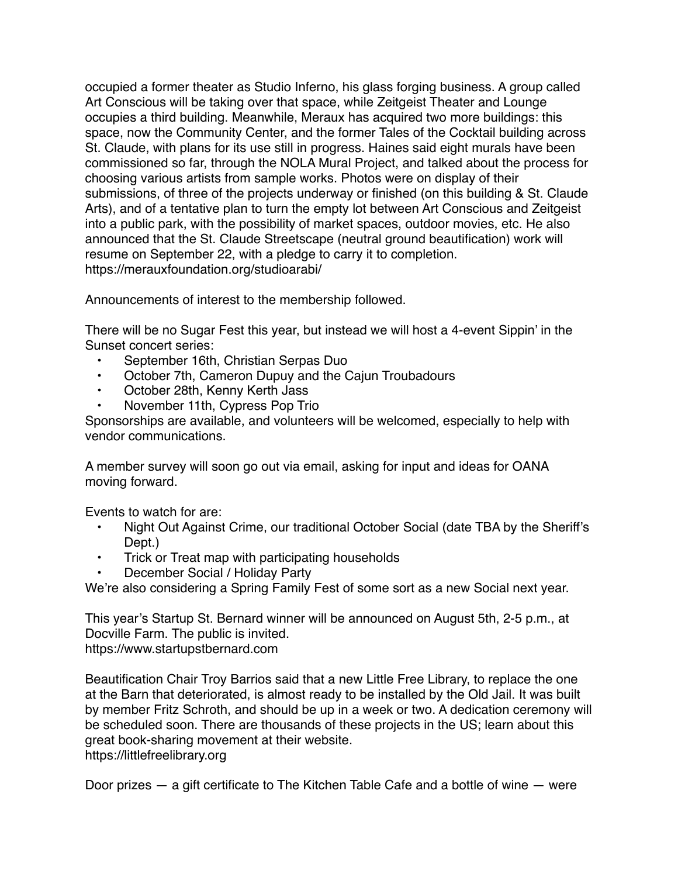occupied a former theater as Studio Inferno, his glass forging business. A group called Art Conscious will be taking over that space, while Zeitgeist Theater and Lounge occupies a third building. Meanwhile, Meraux has acquired two more buildings: this space, now the Community Center, and the former Tales of the Cocktail building across St. Claude, with plans for its use still in progress. Haines said eight murals have been commissioned so far, through the NOLA Mural Project, and talked about the process for choosing various artists from sample works. Photos were on display of their submissions, of three of the projects underway or finished (on this building & St. Claude Arts), and of a tentative plan to turn the empty lot between Art Conscious and Zeitgeist into a public park, with the possibility of market spaces, outdoor movies, etc. He also announced that the St. Claude Streetscape (neutral ground beautification) work will resume on September 22, with a pledge to carry it to completion. <https://merauxfoundation.org/studioarabi/>

Announcements of interest to the membership followed.

There will be no Sugar Fest this year, but instead we will host a 4-event Sippin' in the Sunset concert series:

- September 16th, Christian Serpas Duo
- October 7th, Cameron Dupuy and the Cajun Troubadours
- October 28th, Kenny Kerth Jass
- November 11th, Cypress Pop Trio

Sponsorships are available, and volunteers will be welcomed, especially to help with vendor communications.

A member survey will soon go out via email, asking for input and ideas for OANA moving forward.

Events to watch for are:

- Night Out Against Crime, our traditional October Social (date TBA by the Sheriff's Dept.)
- Trick or Treat map with participating households
- December Social / Holiday Party

We're also considering a Spring Family Fest of some sort as a new Social next year.

This year's Startup St. Bernard winner will be announced on August 5th, 2-5 p.m., at Docville Farm. The public is invited. <https://www.startupstbernard.com>

Beautification Chair Troy Barrios said that a new Little Free Library, to replace the one at the Barn that deteriorated, is almost ready to be installed by the Old Jail. It was built by member Fritz Schroth, and should be up in a week or two. A dedication ceremony will be scheduled soon. There are thousands of these projects in the US; learn about this great book-sharing movement at their website. <https://littlefreelibrary.org>

Door prizes — a gift certificate to The Kitchen Table Cafe and a bottle of wine — were